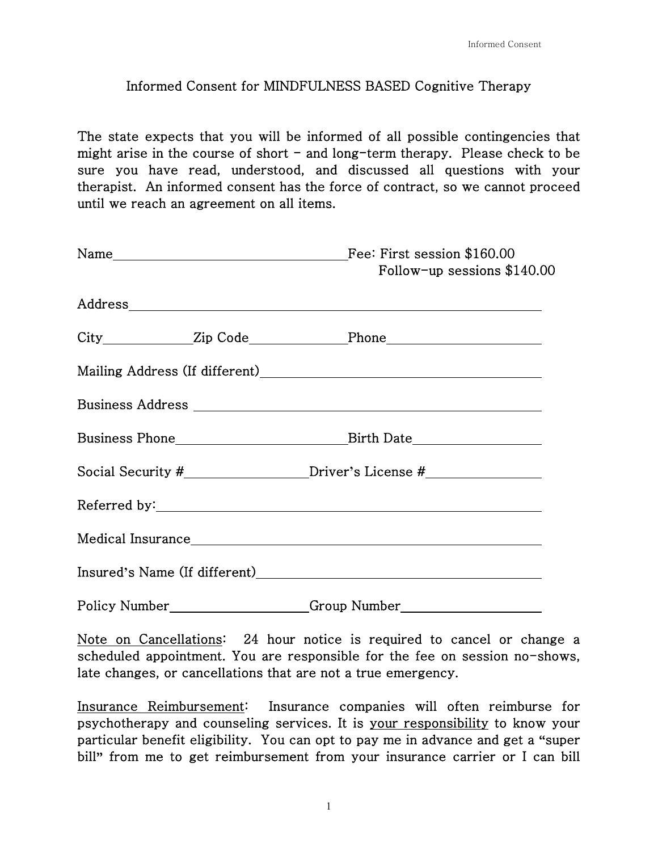## Informed Consent for MINDFULNESS BASED Cognitive Therapy

The state expects that you will be informed of all possible contingencies that might arise in the course of short  $-$  and long-term therapy. Please check to be sure you have read, understood, and discussed all questions with your therapist. An informed consent has the force of contract, so we cannot proceed until we reach an agreement on all items.

| Follow-up sessions $$140.00$                                                     |
|----------------------------------------------------------------------------------|
|                                                                                  |
|                                                                                  |
|                                                                                  |
|                                                                                  |
|                                                                                  |
| Social Security #_____________________Driver's License #________________________ |
|                                                                                  |
|                                                                                  |
|                                                                                  |
|                                                                                  |

Note on Cancellations: 24 hour notice is required to cancel or change a scheduled appointment. You are responsible for the fee on session no-shows, late changes, or cancellations that are not a true emergency.

Insurance Reimbursement: Insurance companies will often reimburse for psychotherapy and counseling services. It is your responsibility to know your particular benefit eligibility. You can opt to pay me in advance and get a **"**super bill**"** from me to get reimbursement from your insurance carrier or I can bill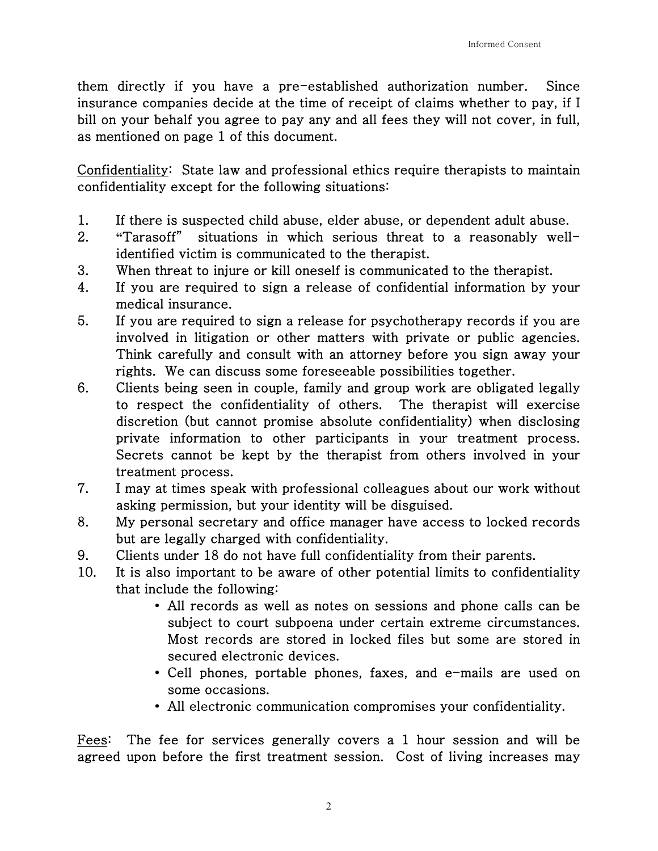them directly if you have a pre-established authorization number. Since insurance companies decide at the time of receipt of claims whether to pay, if I bill on your behalf you agree to pay any and all fees they will not cover, in full, as mentioned on page 1 of this document.

Confidentiality: State law and professional ethics require therapists to maintain confidentiality except for the following situations:

- 1. If there is suspected child abuse, elder abuse, or dependent adult abuse.
- 2. **"**Tarasoff" situations in which serious threat to a reasonably wellidentified victim is communicated to the therapist.
- 3. When threat to injure or kill oneself is communicated to the therapist.
- 4. If you are required to sign a release of confidential information by your medical insurance.
- 5. If you are required to sign a release for psychotherapy records if you are involved in litigation or other matters with private or public agencies. Think carefully and consult with an attorney before you sign away your rights. We can discuss some foreseeable possibilities together.
- 6. Clients being seen in couple, family and group work are obligated legally to respect the confidentiality of others. The therapist will exercise discretion (but cannot promise absolute confidentiality) when disclosing private information to other participants in your treatment process. Secrets cannot be kept by the therapist from others involved in your treatment process.
- 7. I may at times speak with professional colleagues about our work without asking permission, but your identity will be disguised.
- 8. My personal secretary and office manager have access to locked records but are legally charged with confidentiality.
- 9. Clients under 18 do not have full confidentiality from their parents.
- 10. It is also important to be aware of other potential limits to confidentiality that include the following:
	- All records as well as notes on sessions and phone calls can be subject to court subpoena under certain extreme circumstances. Most records are stored in locked files but some are stored in secured electronic devices.
	- Cell phones, portable phones, faxes, and e-mails are used on some occasions.
	- All electronic communication compromises your confidentiality.

Fees: The fee for services generally covers a 1 hour session and will be agreed upon before the first treatment session. Cost of living increases may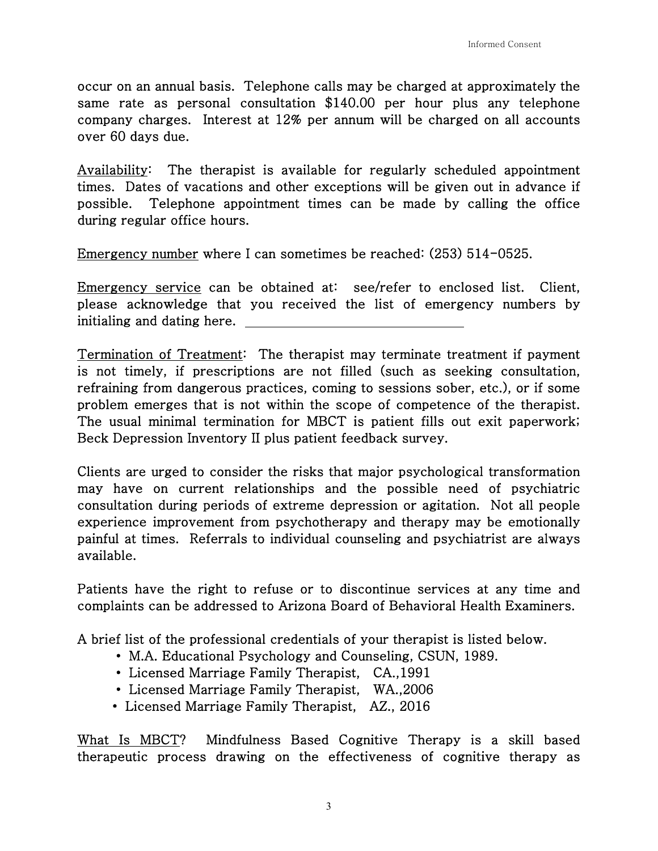occur on an annual basis. Telephone calls may be charged at approximately the same rate as personal consultation \$140.00 per hour plus any telephone company charges. Interest at 12% per annum will be charged on all accounts over 60 days due.

Availability: The therapist is available for regularly scheduled appointment times. Dates of vacations and other exceptions will be given out in advance if possible. Telephone appointment times can be made by calling the office during regular office hours.

Emergency number where I can sometimes be reached: (253) 514-0525.

Emergency service can be obtained at: see/refer to enclosed list. Client, please acknowledge that you received the list of emergency numbers by initialing and dating here.

Termination of Treatment: The therapist may terminate treatment if payment is not timely, if prescriptions are not filled (such as seeking consultation, refraining from dangerous practices, coming to sessions sober, etc.), or if some problem emerges that is not within the scope of competence of the therapist. The usual minimal termination for MBCT is patient fills out exit paperwork; Beck Depression Inventory II plus patient feedback survey.

Clients are urged to consider the risks that major psychological transformation may have on current relationships and the possible need of psychiatric consultation during periods of extreme depression or agitation. Not all people experience improvement from psychotherapy and therapy may be emotionally painful at times. Referrals to individual counseling and psychiatrist are always available.

Patients have the right to refuse or to discontinue services at any time and complaints can be addressed to Arizona Board of Behavioral Health Examiners.

A brief list of the professional credentials of your therapist is listed below.

- M.A. Educational Psychology and Counseling, CSUN, 1989.
- Licensed Marriage Family Therapist, CA.,1991
- Licensed Marriage Family Therapist, WA.,2006
- Licensed Marriage Family Therapist, AZ., 2016

What Is MBCT? Mindfulness Based Cognitive Therapy is a skill based therapeutic process drawing on the effectiveness of cognitive therapy as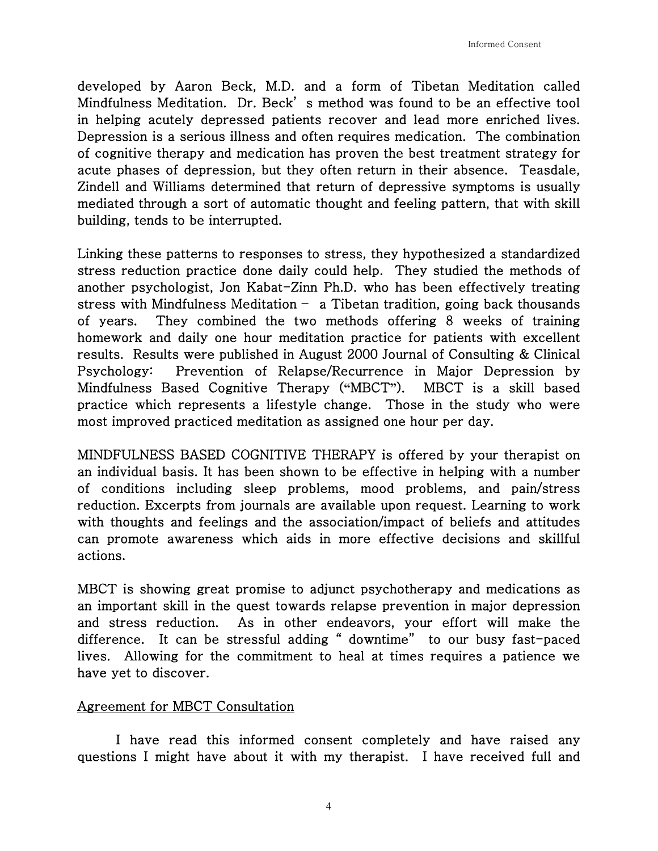developed by Aaron Beck, M.D. and a form of Tibetan Meditation called Mindfulness Meditation. Dr. Beck' s method was found to be an effective tool in helping acutely depressed patients recover and lead more enriched lives. Depression is a serious illness and often requires medication. The combination of cognitive therapy and medication has proven the best treatment strategy for acute phases of depression, but they often return in their absence. Teasdale, Zindell and Williams determined that return of depressive symptoms is usually mediated through a sort of automatic thought and feeling pattern, that with skill building, tends to be interrupted.

Linking these patterns to responses to stress, they hypothesized a standardized stress reduction practice done daily could help. They studied the methods of another psychologist, Jon Kabat-Zinn Ph.D. who has been effectively treating stress with Mindfulness Meditation – a Tibetan tradition, going back thousands of years. They combined the two methods offering 8 weeks of training homework and daily one hour meditation practice for patients with excellent results. Results were published in August 2000 Journal of Consulting & Clinical Psychology: Prevention of Relapse/Recurrence in Major Depression by Mindfulness Based Cognitive Therapy (**"**MBCT**"**). MBCT is a skill based practice which represents a lifestyle change. Those in the study who were most improved practiced meditation as assigned one hour per day.

MINDFULNESS BASED COGNITIVE THERAPY is offered by your therapist on an individual basis. It has been shown to be effective in helping with a number of conditions including sleep problems, mood problems, and pain/stress reduction. Excerpts from journals are available upon request. Learning to work with thoughts and feelings and the association/impact of beliefs and attitudes can promote awareness which aids in more effective decisions and skillful actions.

MBCT is showing great promise to adjunct psychotherapy and medications as an important skill in the quest towards relapse prevention in major depression and stress reduction. As in other endeavors, your effort will make the difference. It can be stressful adding " downtime" to our busy fast-paced lives. Allowing for the commitment to heal at times requires a patience we have yet to discover.

## Agreement for MBCT Consultation

 I have read this informed consent completely and have raised any questions I might have about it with my therapist. I have received full and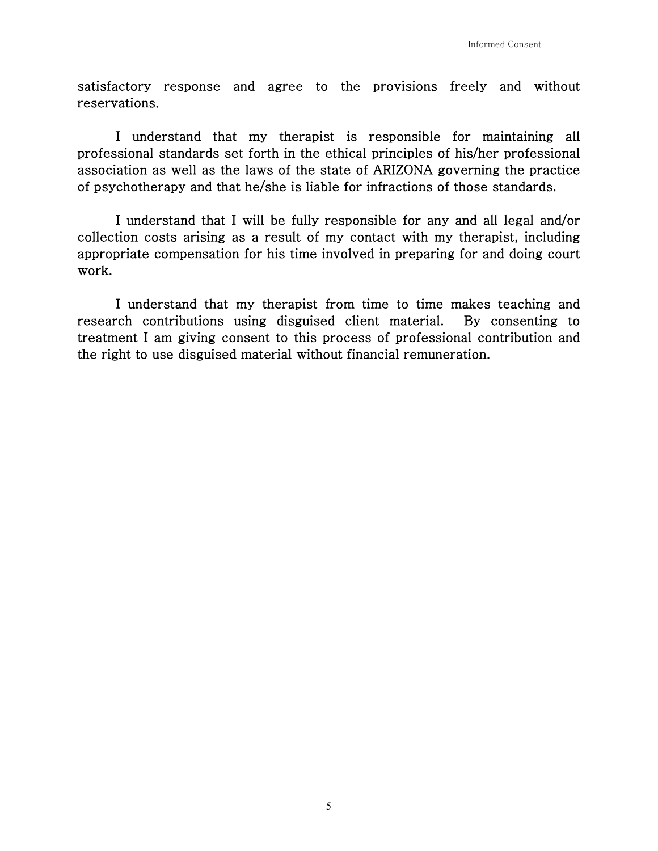satisfactory response and agree to the provisions freely and without reservations.

 I understand that my therapist is responsible for maintaining all professional standards set forth in the ethical principles of his/her professional association as well as the laws of the state of ARIZONA governing the practice of psychotherapy and that he/she is liable for infractions of those standards.

 I understand that I will be fully responsible for any and all legal and/or collection costs arising as a result of my contact with my therapist, including appropriate compensation for his time involved in preparing for and doing court work.

 I understand that my therapist from time to time makes teaching and research contributions using disguised client material. By consenting to treatment I am giving consent to this process of professional contribution and the right to use disguised material without financial remuneration.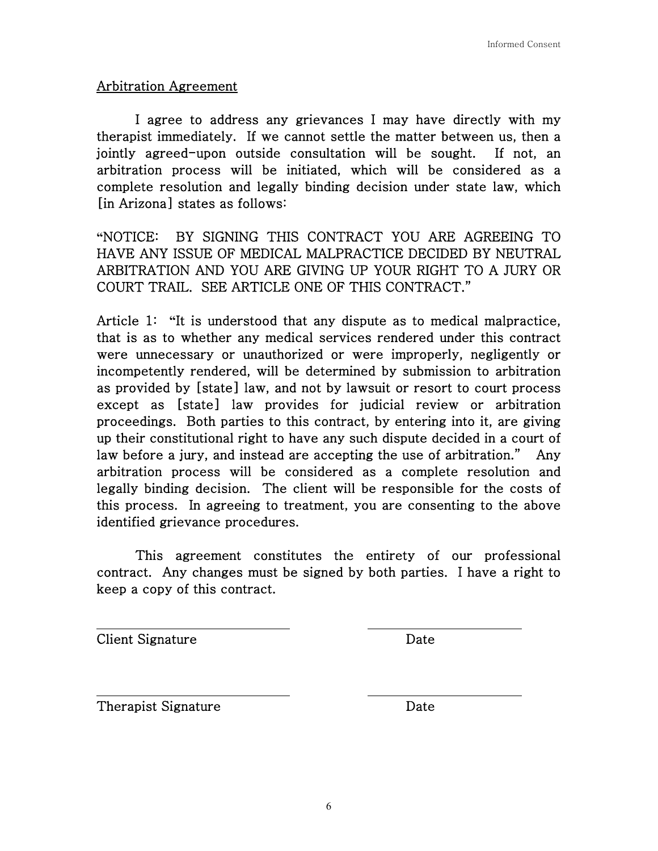## Arbitration Agreement

 I agree to address any grievances I may have directly with my therapist immediately. If we cannot settle the matter between us, then a jointly agreed-upon outside consultation will be sought. If not, an arbitration process will be initiated, which will be considered as a complete resolution and legally binding decision under state law, which [in Arizona] states as follows:

**"**NOTICE: BY SIGNING THIS CONTRACT YOU ARE AGREEING TO HAVE ANY ISSUE OF MEDICAL MALPRACTICE DECIDED BY NEUTRAL ARBITRATION AND YOU ARE GIVING UP YOUR RIGHT TO A JURY OR COURT TRAIL. SEE ARTICLE ONE OF THIS CONTRACT."

Article 1: **"**It is understood that any dispute as to medical malpractice, that is as to whether any medical services rendered under this contract were unnecessary or unauthorized or were improperly, negligently or incompetently rendered, will be determined by submission to arbitration as provided by [state] law, and not by lawsuit or resort to court process except as [state] law provides for judicial review or arbitration proceedings. Both parties to this contract, by entering into it, are giving up their constitutional right to have any such dispute decided in a court of law before a jury, and instead are accepting the use of arbitration." Any arbitration process will be considered as a complete resolution and legally binding decision. The client will be responsible for the costs of this process. In agreeing to treatment, you are consenting to the above identified grievance procedures.

 This agreement constitutes the entirety of our professional contract. Any changes must be signed by both parties. I have a right to keep a copy of this contract.

Client Signature Date

Therapist Signature Date